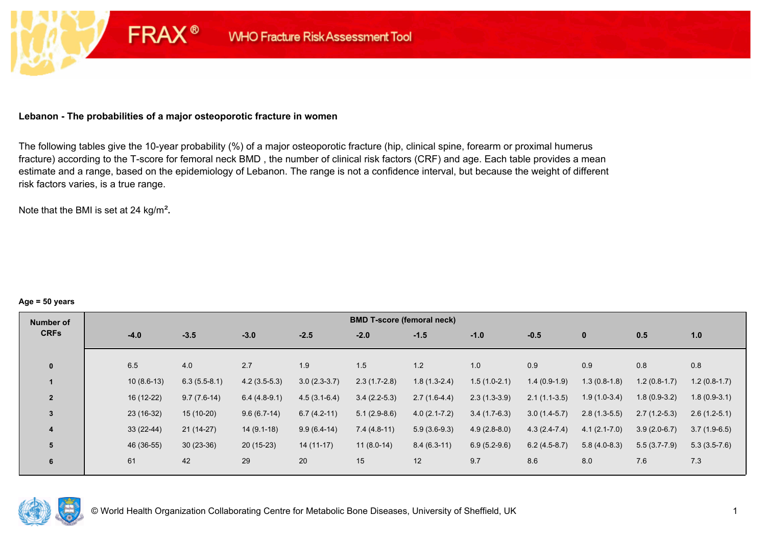### **Lebanon - The probabilities of a major osteoporotic fracture in women**

**FRAX®** 

The following tables give the 10-year probability (%) of a major osteoporotic fracture (hip, clinical spine, forearm or proximal humerus fracture) according to the T-score for femoral neck BMD , the number of clinical risk factors (CRF) and age. Each table provides a mean estimate and a range, based on the epidemiology of Lebanon. The range is not a confidence interval, but because the weight of different risk factors varies, is a true range.

Note that the BMI is set at 24 kg/m²**.** 

#### **Age = 50 years**

| Number of               | <b>BMD T-score (femoral neck)</b> |                |                |                |                |                  |                |                |                  |                |                |  |
|-------------------------|-----------------------------------|----------------|----------------|----------------|----------------|------------------|----------------|----------------|------------------|----------------|----------------|--|
| <b>CRFs</b>             | $-4.0$                            | $-3.5$         | $-3.0$         | $-2.5$         | $-2.0$         | $-1.5$           | $-1.0$         | $-0.5$         | $\mathbf{0}$     | 0.5            | 1.0            |  |
|                         |                                   |                |                |                |                |                  |                |                |                  |                |                |  |
| $\mathbf{0}$            | 6.5                               | 4.0            | 2.7            | 1.9            | 1.5            | 1.2              | 1.0            | 0.9            | 0.9              | 0.8            | 0.8            |  |
|                         | $10(8.6-13)$                      | $6.3(5.5-8.1)$ | $4.2(3.5-5.3)$ | $3.0(2.3-3.7)$ | $2.3(1.7-2.8)$ | $1.8(1.3-2.4)$   | $1.5(1.0-2.1)$ | $1.4(0.9-1.9)$ | $1.3(0.8-1.8)$   | $1.2(0.8-1.7)$ | $1.2(0.8-1.7)$ |  |
| $\overline{2}$          | 16 (12-22)                        | $9.7(7.6-14)$  | $6.4(4.8-9.1)$ | $4.5(3.1-6.4)$ | $3.4(2.2-5.3)$ | $2.7(1.6-4.4)$   | $2.3(1.3-3.9)$ | $2.1(1.1-3.5)$ | $1.9(1.0-3.4)$   | $1.8(0.9-3.2)$ | $1.8(0.9-3.1)$ |  |
| $\overline{3}$          | 23 (16-32)                        | $15(10-20)$    | $9.6(6.7-14)$  | $6.7(4.2-11)$  | $5.1(2.9-8.6)$ | $4.0(2.1 - 7.2)$ | $3.4(1.7-6.3)$ | $3.0(1.4-5.7)$ | $2.8(1.3-5.5)$   | $2.7(1.2-5.3)$ | $2.6(1.2-5.1)$ |  |
| $\overline{\mathbf{4}}$ | $33(22-44)$                       | $21(14-27)$    | $14(9.1-18)$   | $9.9(6.4-14)$  | $7.4(4.8-11)$  | $5.9(3.6-9.3)$   | $4.9(2.8-8.0)$ | $4.3(2.4-7.4)$ | $4.1(2.1 - 7.0)$ | $3.9(2.0-6.7)$ | $3.7(1.9-6.5)$ |  |
| 5                       | 46 (36-55)                        | $30(23-36)$    | $20(15-23)$    | $14(11-17)$    | $11(8.0-14)$   | $8.4(6.3-11)$    | $6.9(5.2-9.6)$ | $6.2(4.5-8.7)$ | $5.8(4.0-8.3)$   | $5.5(3.7-7.9)$ | $5.3(3.5-7.6)$ |  |
| 6                       | 61                                | 42             | 29             | 20             | 15             | 12               | 9.7            | 8.6            | 8.0              | 7.6            | 7.3            |  |

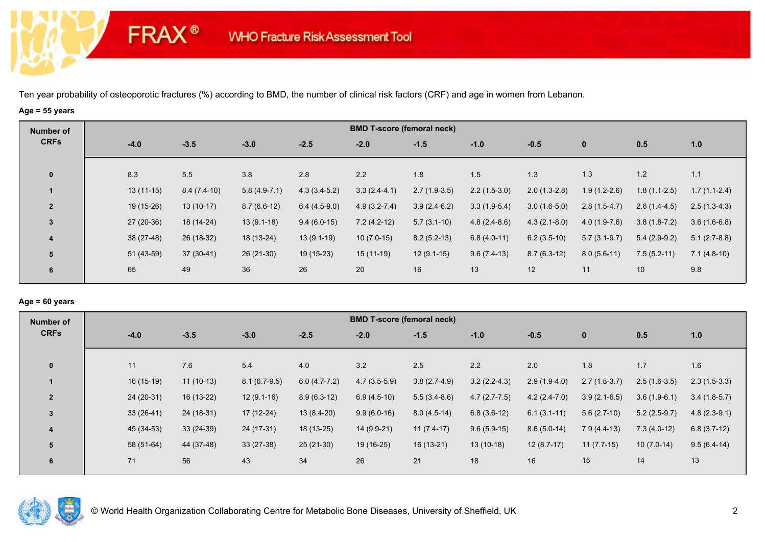# **Age = 55 years**

**FRAX®** 

| Number of               |             |               |                |                | <b>BMD T-score (femoral neck)</b> |                |                |                |                |                |                |
|-------------------------|-------------|---------------|----------------|----------------|-----------------------------------|----------------|----------------|----------------|----------------|----------------|----------------|
| <b>CRFs</b>             | $-4.0$      | $-3.5$        | $-3.0$         | $-2.5$         | $-2.0$                            | $-1.5$         | $-1.0$         | $-0.5$         | $\mathbf{0}$   | 0.5            | 1.0            |
| $\mathbf{0}$            | 8.3         | 5.5           | 3.8            | 2.8            | 2.2                               | 1.8            | 1.5            | 1.3            | 1.3            | 1.2            | 1.1            |
|                         | $13(11-15)$ | $8.4(7.4-10)$ | $5.8(4.9-7.1)$ | $4.3(3.4-5.2)$ | $3.3(2.4-4.1)$                    | $2.7(1.9-3.5)$ | $2.2(1.5-3.0)$ | $2.0(1.3-2.8)$ | $1.9(1.2-2.6)$ | $1.8(1.1-2.5)$ | $1.7(1.1-2.4)$ |
| $\overline{2}$          | 19 (15-26)  | $13(10-17)$   | $8.7(6.6-12)$  | $6.4(4.5-9.0)$ | $4.9(3.2 - 7.4)$                  | $3.9(2.4-6.2)$ | $3.3(1.9-5.4)$ | $3.0(1.6-5.0)$ | $2.8(1.5-4.7)$ | $2.6(1.4-4.5)$ | $2.5(1.3-4.3)$ |
| $\mathbf{3}$            | 27 (20-36)  | 18 (14-24)    | $13(9.1-18)$   | $9.4(6.0-15)$  | $7.2(4.2-12)$                     | $5.7(3.1-10)$  | $4.8(2.4-8.6)$ | $4.3(2.1-8.0)$ | $4.0(1.9-7.6)$ | $3.8(1.8-7.2)$ | $3.6(1.6-6.8)$ |
| $\overline{\mathbf{4}}$ | 38 (27-48)  | 26 (18-32)    | 18 (13-24)     | $13(9.1-19)$   | $10(7.0-15)$                      | $8.2(5.2-13)$  | $6.8(4.0-11)$  | $6.2(3.5-10)$  | $5.7(3.1-9.7)$ | $5.4(2.9-9.2)$ | $5.1(2.7-8.8)$ |
| 5                       | 51 (43-59)  | 37 (30-41)    | 26 (21-30)     | 19 (15-23)     | $15(11-19)$                       | $12(9.1-15)$   | $9.6(7.4-13)$  | $8.7(6.3-12)$  | $8.0(5.6-11)$  | $7.5(5.2-11)$  | $7.1(4.8-10)$  |
| 6                       | 65          | 49            | 36             | 26             | 20                                | 16             | 13             | 12             | 11             | 10             | 9.8            |
|                         |             |               |                |                |                                   |                |                |                |                |                |                |

# **Age = 60 years**

| <b>BMD T-score (femoral neck)</b><br>Number of                                                                                                                        |                                  |
|-----------------------------------------------------------------------------------------------------------------------------------------------------------------------|----------------------------------|
| <b>CRFs</b><br>$-2.5$<br>$-3.5$<br>$-3.0$<br>$-4.0$<br>$-2.0$<br>$-1.5$<br>$-1.0$<br>$-0.5$<br>$\mathbf{0}$                                                           | 0.5<br>1.0                       |
| 5.4<br>1.8<br>11<br>7.6<br>4.0<br>3.2<br>2.5<br>2.2<br>$\mathbf{0}$<br>2.0                                                                                            | 1.7<br>1.6                       |
| 16 (15-19)<br>$3.2(2.2-4.3)$<br>$11(10-13)$<br>$8.1(6.7-9.5)$<br>$6.0(4.7-7.2)$<br>$4.7(3.5-5.9)$<br>$3.8(2.7-4.9)$<br>$2.9(1.9-4.0)$<br>$2.7(1.8-3.7)$               | $2.5(1.6-3.5)$<br>$2.3(1.5-3.3)$ |
| 24 (20-31)<br>$16(13-22)$<br>$12(9.1-16)$<br>$8.9(6.3-12)$<br>$5.5(3.4-8.6)$<br>$4.7(2.7-7.5)$<br>$\overline{2}$<br>$6.9(4.5-10)$<br>$4.2(2.4-7.0)$<br>$3.9(2.1-6.5)$ | $3.6(1.9-6.1)$<br>$3.4(1.8-5.7)$ |
| $33(26-41)$<br>$17(12-24)$<br>$13(8.4-20)$<br>$9.9(6.0-16)$<br>24 (18-31)<br>$8.0(4.5-14)$<br>$6.8(3.6-12)$<br>$6.1(3.1-11)$<br>$5.6(2.7-10)$<br>3                    | $5.2(2.5-9.7)$<br>$4.8(2.3-9.1)$ |
| 45 (34-53)<br>$33(24-39)$<br>24 (17-31)<br>18 (13-25)<br>14 (9.9-21)<br>$11(7.4-17)$<br>$9.6(5.9-15)$<br>$8.6(5.0-14)$<br>$7.9(4.4-13)$<br>$\overline{\mathbf{4}}$    | $7.3(4.0-12)$<br>$6.8(3.7-12)$   |
| 58 (51-64)<br>$19(16-25)$<br>44 (37-48)<br>$33(27-38)$<br>$25(21-30)$<br>$16(13-21)$<br>$13(10-18)$<br>$12(8.7-17)$<br>$11(7.7-15)$<br>5                              | $10(7.0-14)$<br>$9.5(6.4-14)$    |
| 43<br>26<br>56<br>34<br>21<br>18<br>16<br>15<br>71<br>6                                                                                                               | 13<br>14                         |

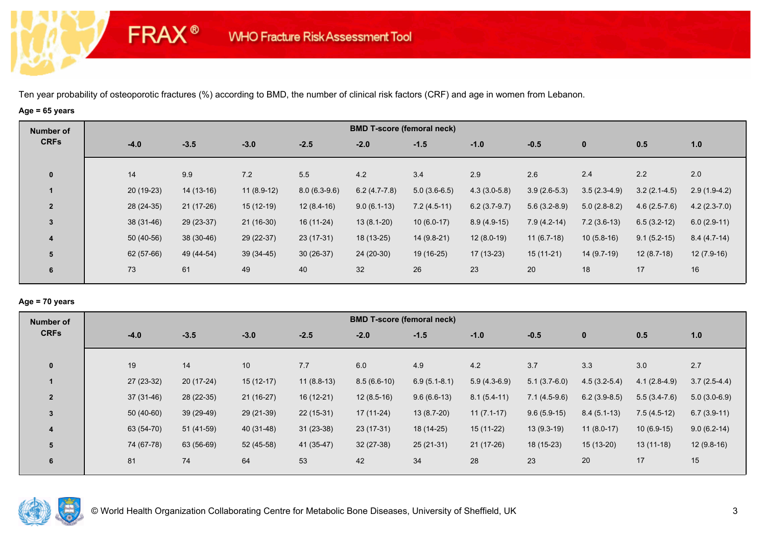# **Age = 65 years**

**FRAX®** 

| Number of      |             |             |              |                |                | <b>BMD T-score (femoral neck)</b> |                |                |                |                |                |
|----------------|-------------|-------------|--------------|----------------|----------------|-----------------------------------|----------------|----------------|----------------|----------------|----------------|
| <b>CRFs</b>    | $-4.0$      | $-3.5$      | $-3.0$       | $-2.5$         | $-2.0$         | $-1.5$                            | $-1.0$         | $-0.5$         | $\mathbf 0$    | 0.5            | 1.0            |
| $\mathbf 0$    | 14          | 9.9         | 7.2          | 5.5            | 4.2            | 3.4                               | 2.9            | 2.6            | 2.4            | 2.2            | 2.0            |
|                | $20(19-23)$ | $14(13-16)$ | $11(8.9-12)$ | $8.0(6.3-9.6)$ | $6.2(4.7-7.8)$ | $5.0(3.6-6.5)$                    | $4.3(3.0-5.8)$ | $3.9(2.6-5.3)$ | $3.5(2.3-4.9)$ | $3.2(2.1-4.5)$ | $2.9(1.9-4.2)$ |
| $\overline{2}$ | 28 (24-35)  | $21(17-26)$ | $15(12-19)$  | $12(8.4-16)$   | $9.0(6.1-13)$  | $7.2(4.5-11)$                     | $6.2(3.7-9.7)$ | $5.6(3.2-8.9)$ | $5.0(2.8-8.2)$ | $4.6(2.5-7.6)$ | $4.2(2.3-7.0)$ |
| $\mathbf{3}$   | 38 (31-46)  | 29 (23-37)  | $21(16-30)$  | $16(11-24)$    | $13(8.1-20)$   | $10(6.0-17)$                      | $8.9(4.9-15)$  | $7.9(4.2-14)$  | $7.2(3.6-13)$  | $6.5(3.2-12)$  | $6.0(2.9-11)$  |
| 4              | 50 (40-56)  | 38 (30-46)  | 29 (22-37)   | $23(17-31)$    | 18 (13-25)     | $14(9.8-21)$                      | $12(8.0-19)$   | $11(6.7-18)$   | $10(5.8-16)$   | $9.1(5.2-15)$  | $8.4(4.7-14)$  |
| 5              | 62 (57-66)  | 49 (44-54)  | $39(34-45)$  | $30(26-37)$    | $24(20-30)$    | 19 (16-25)                        | 17 (13-23)     | $15(11-21)$    | $14(9.7-19)$   | $12(8.7-18)$   | $12(7.9-16)$   |
| 6              | 73          | 61          | 49           | 40             | 32             | 26                                | 23             | 20             | 18             | 17             | 16             |
|                |             |             |              |                |                |                                   |                |                |                |                |                |

### **Age = 70 years**

| Number of      |             |             |             |              |               | <b>BMD T-score (femoral neck)</b> |                |                |                |                |                |
|----------------|-------------|-------------|-------------|--------------|---------------|-----------------------------------|----------------|----------------|----------------|----------------|----------------|
| <b>CRFs</b>    | $-4.0$      | $-3.5$      | $-3.0$      | $-2.5$       | $-2.0$        | $-1.5$                            | $-1.0$         | $-0.5$         | $\mathbf{0}$   | 0.5            | 1.0            |
|                |             |             |             |              |               |                                   |                |                |                |                |                |
| $\mathbf{0}$   | 19          | 14          | 10          | 7.7          | 6.0           | 4.9                               | 4.2            | 3.7            | 3.3            | 3.0            | 2.7            |
|                | 27 (23-32)  | $20(17-24)$ | $15(12-17)$ | $11(8.8-13)$ | $8.5(6.6-10)$ | $6.9(5.1 - 8.1)$                  | $5.9(4.3-6.9)$ | $5.1(3.7-6.0)$ | $4.5(3.2-5.4)$ | $4.1(2.8-4.9)$ | $3.7(2.5-4.4)$ |
| $\overline{2}$ | $37(31-46)$ | 28 (22-35)  | $21(16-27)$ | $16(12-21)$  | $12(8.5-16)$  | $9.6(6.6-13)$                     | $8.1(5.4-11)$  | $7.1(4.5-9.6)$ | $6.2(3.9-8.5)$ | $5.5(3.4-7.6)$ | $5.0(3.0-6.9)$ |
| $\overline{3}$ | $50(40-60)$ | 39 (29-49)  | 29 (21-39)  | $22(15-31)$  | 17 (11-24)    | $13(8.7-20)$                      | $11(7.1-17)$   | $9.6(5.9-15)$  | $8.4(5.1-13)$  | $7.5(4.5-12)$  | $6.7(3.9-11)$  |
| 4              | 63 (54-70)  | $51(41-59)$ | 40 (31-48)  | $31(23-38)$  | $23(17-31)$   | 18 (14-25)                        | $15(11-22)$    | $13(9.3-19)$   | $11(8.0-17)$   | $10(6.9-15)$   | $9.0(6.2-14)$  |
| 5              | 74 (67-78)  | 63 (56-69)  | 52 (45-58)  | 41 (35-47)   | $32(27-38)$   | $25(21-31)$                       | $21(17-26)$    | 18 (15-23)     | $15(13-20)$    | $13(11-18)$    | $12(9.8-16)$   |
| 6              | 81          | 74          | 64          | 53           | 42            | 34                                | 28             | 23             | 20             | 17             | 15             |
|                |             |             |             |              |               |                                   |                |                |                |                |                |

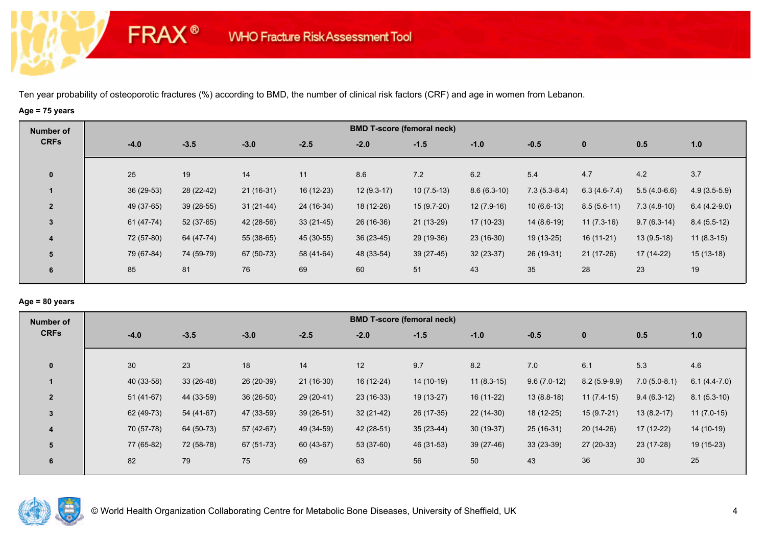# **Age = 75 years**

**FRAX®** 

| Number of               |            |             |             |             |              | <b>BMD T-score (femoral neck)</b> |               |                |                |                |                |
|-------------------------|------------|-------------|-------------|-------------|--------------|-----------------------------------|---------------|----------------|----------------|----------------|----------------|
| <b>CRFs</b>             | $-4.0$     | $-3.5$      | $-3.0$      | $-2.5$      | $-2.0$       | $-1.5$                            | $-1.0$        | $-0.5$         | $\mathbf 0$    | 0.5            | 1.0            |
| $\mathbf{0}$            | 25         | 19          | 14          | 11          | 8.6          | 7.2                               | 6.2           | 5.4            | 4.7            | 4.2            | 3.7            |
|                         | 36 (29-53) | 28 (22-42)  | $21(16-31)$ | 16 (12-23)  | $12(9.3-17)$ | $10(7.5-13)$                      | $8.6(6.3-10)$ | $7.3(5.3-8.4)$ | $6.3(4.6-7.4)$ | $5.5(4.0-6.6)$ | $4.9(3.5-5.9)$ |
| $\overline{2}$          | 49 (37-65) | $39(28-55)$ | $31(21-44)$ | 24 (16-34)  | 18 (12-26)   | $15(9.7-20)$                      | $12(7.9-16)$  | $10(6.6-13)$   | $8.5(5.6-11)$  | $7.3(4.8-10)$  | $6.4(4.2-9.0)$ |
| 3                       | 61 (47-74) | $52(37-65)$ | 42 (28-56)  | $33(21-45)$ | 26 (16-36)   | 21 (13-29)                        | 17 (10-23)    | $14(8.6-19)$   | $11(7.3-16)$   | $9.7(6.3-14)$  | $8.4(5.5-12)$  |
| $\overline{\mathbf{4}}$ | 72 (57-80) | 64 (47-74)  | 55 (38-65)  | 45 (30-55)  | $36(23-45)$  | 29 (19-36)                        | $23(16-30)$   | 19 (13-25)     | $16(11-21)$    | $13(9.5-18)$   | $11(8.3-15)$   |
| 5                       | 79 (67-84) | 74 (59-79)  | 67 (50-73)  | 58 (41-64)  | 48 (33-54)   | $39(27-45)$                       | $32(23-37)$   | 26 (19-31)     | $21(17-26)$    | $17(14-22)$    | $15(13-18)$    |
| 6                       | 85         | 81          | 76          | 69          | 60           | 51                                | 43            | 35             | 28             | 23             | 19             |

# **Age = 80 years**

| Number of      |             |             |             |             |             | <b>BMD T-score (femoral neck)</b> |              |               |                |                |                |
|----------------|-------------|-------------|-------------|-------------|-------------|-----------------------------------|--------------|---------------|----------------|----------------|----------------|
| <b>CRFs</b>    | $-4.0$      | $-3.5$      | $-3.0$      | $-2.5$      | $-2.0$      | $-1.5$                            | $-1.0$       | $-0.5$        | $\mathbf 0$    | 0.5            | 1.0            |
|                |             |             |             |             |             |                                   |              |               |                |                |                |
| $\mathbf{0}$   | 30          | 23          | 18          | 14          | 12          | 9.7                               | 8.2          | 7.0           | 6.1            | 5.3            | 4.6            |
|                | 40 (33-58)  | $33(26-48)$ | 26 (20-39)  | $21(16-30)$ | 16 (12-24)  | 14 (10-19)                        | $11(8.3-15)$ | $9.6(7.0-12)$ | $8.2(5.9-9.9)$ | $7.0(5.0-8.1)$ | $6.1(4.4-7.0)$ |
| $\overline{2}$ | $51(41-67)$ | 44 (33-59)  | $36(26-50)$ | 29 (20-41)  | $23(16-33)$ | 19 (13-27)                        | $16(11-22)$  | $13(8.8-18)$  | $11(7.4-15)$   | $9.4(6.3-12)$  | $8.1(5.3-10)$  |
| 3              | 62 (49-73)  | 54 (41-67)  | 47 (33-59)  | $39(26-51)$ | $32(21-42)$ | 26 (17-35)                        | $22(14-30)$  | 18 (12-25)    | $15(9.7-21)$   | $13(8.2-17)$   | $11(7.0-15)$   |
| 4              | 70 (57-78)  | 64 (50-73)  | $57(42-67)$ | 49 (34-59)  | 42 (28-51)  | $35(23-44)$                       | 30 (19-37)   | $25(16-31)$   | $20(14-26)$    | $17(12-22)$    | $14(10-19)$    |
| 5              | 77 (65-82)  | 72 (58-78)  | 67 (51-73)  | 60 (43-67)  | 53 (37-60)  | 46 (31-53)                        | $39(27-46)$  | $33(23-39)$   | $27(20-33)$    | 23 (17-28)     | $19(15-23)$    |
| 6              | 82          | 79          | 75          | 69          | 63          | 56                                | 50           | 43            | 36             | 30             | 25             |
|                |             |             |             |             |             |                                   |              |               |                |                |                |